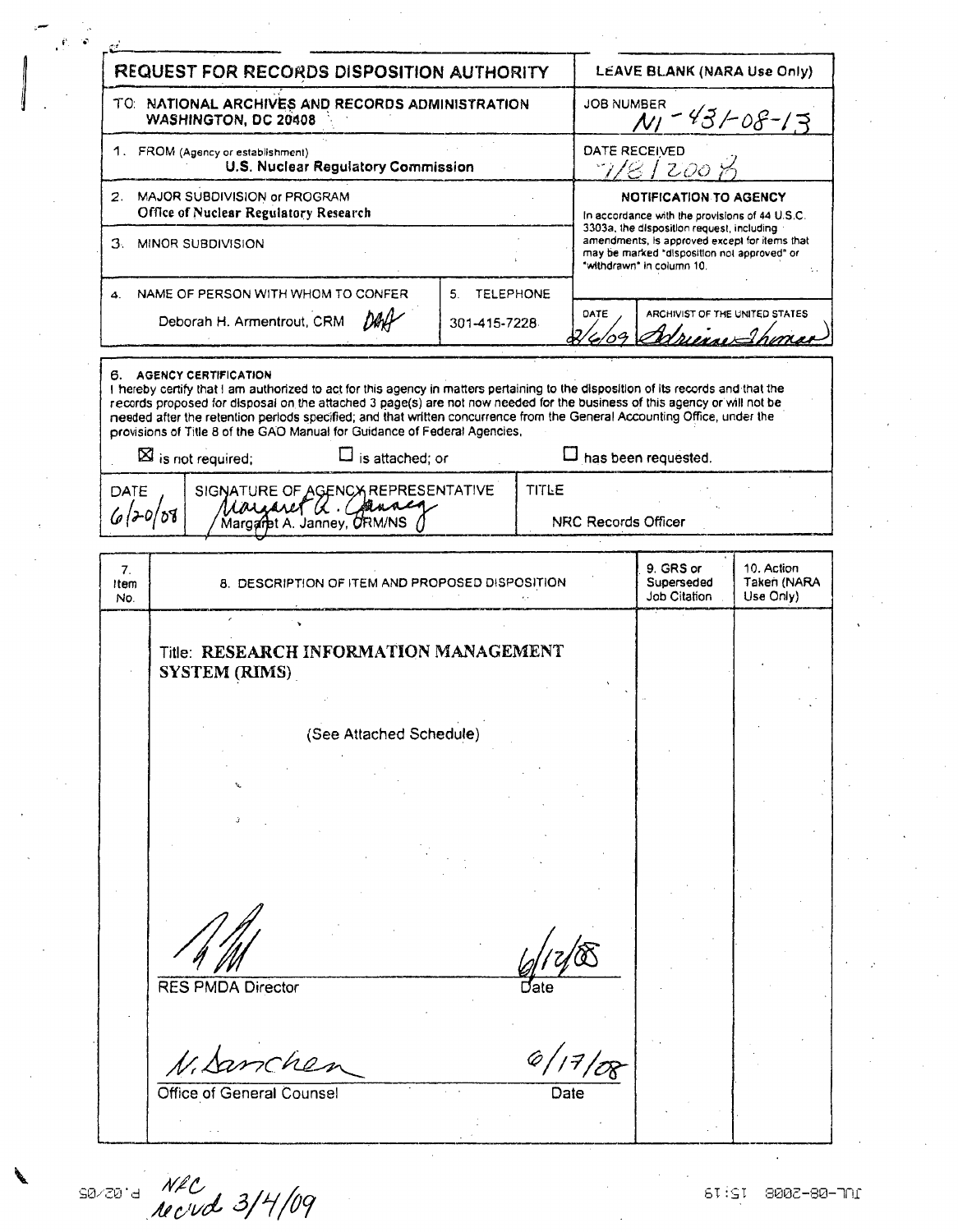|                                                                             | REQUEST FOR RECORDS DISPOSITION AUTHORITY                                                                                                                                                          |                                        |                        |                                                                                                                              | LEAVE BLANK (NARA Use Only)                                                                                               |                          |  |
|-----------------------------------------------------------------------------|----------------------------------------------------------------------------------------------------------------------------------------------------------------------------------------------------|----------------------------------------|------------------------|------------------------------------------------------------------------------------------------------------------------------|---------------------------------------------------------------------------------------------------------------------------|--------------------------|--|
|                                                                             | TO: NATIONAL ARCHIVES AND RECORDS ADMINISTRATION<br><b>WASHINGTON, DC 20408</b>                                                                                                                    |                                        |                        | <b>JOB NUMBER</b>                                                                                                            |                                                                                                                           | $43/08-13$               |  |
| 1. FROM (Agency or establishment)<br>U.S. Nuclear Regulatory Commission     |                                                                                                                                                                                                    |                                        |                        | DATE RECEIVED<br>7/8/200                                                                                                     |                                                                                                                           |                          |  |
| MAJOR SUBDIVISION or PROGRAM<br>2.<br>Office of Nuclear Regulatory Research |                                                                                                                                                                                                    |                                        |                        | <b>NOTIFICATION TO AGENCY</b><br>In accordance with the provisions of 44 U.S.C.<br>3303a, the disposition request, including |                                                                                                                           |                          |  |
| 3.                                                                          | MINOR SUBDIVISION                                                                                                                                                                                  |                                        |                        |                                                                                                                              | amendments, is approved except for items that<br>may be marked "disposition not approved" or<br>"withdrawn" in column 10. |                          |  |
| 4.                                                                          | NAME OF PERSON WITH WHOM TO CONFER<br>Deborah H. Armentrout, CRM                                                                                                                                   | <b>TELEPHONE</b><br>5.<br>301-415-7228 |                        | DATE                                                                                                                         | ARCHIVIST OF THE UNITED STATES                                                                                            |                          |  |
|                                                                             |                                                                                                                                                                                                    |                                        |                        |                                                                                                                              |                                                                                                                           | rma                      |  |
| DATE<br>6120/08                                                             | provisions of Title 8 of the GAO Manual for Guidance of Federal Agencies,<br>$\boxtimes$ is not required;<br>$\square$ is attached; or<br>SIGNATURE OF AGENCY REPRESENTATIVE<br>Margaret a. Chance |                                        | <b>TITLE</b>           |                                                                                                                              | has been requested.<br><b>NRC Records Officer</b>                                                                         |                          |  |
| 7.<br>Item                                                                  |                                                                                                                                                                                                    |                                        |                        |                                                                                                                              | 9. GRS or                                                                                                                 | 10. Action               |  |
| No.                                                                         | 8. DESCRIPTION OF ITEM AND PROPOSED DISPOSITION                                                                                                                                                    |                                        |                        |                                                                                                                              | Superseded<br>Job Citation                                                                                                | Taken (NARA<br>Use Only) |  |
|                                                                             | Title: RESEARCH INFORMATION MANAGEMENT<br><b>SYSTEM (RIMS)</b>                                                                                                                                     |                                        |                        |                                                                                                                              |                                                                                                                           |                          |  |
|                                                                             | (See Attached Schedule)                                                                                                                                                                            |                                        |                        |                                                                                                                              |                                                                                                                           |                          |  |
|                                                                             |                                                                                                                                                                                                    |                                        |                        |                                                                                                                              |                                                                                                                           |                          |  |
|                                                                             |                                                                                                                                                                                                    |                                        |                        |                                                                                                                              |                                                                                                                           |                          |  |
|                                                                             |                                                                                                                                                                                                    |                                        |                        |                                                                                                                              |                                                                                                                           |                          |  |
|                                                                             |                                                                                                                                                                                                    |                                        |                        |                                                                                                                              |                                                                                                                           |                          |  |
|                                                                             | <b>RES PMDA Director</b>                                                                                                                                                                           |                                        | Date                   |                                                                                                                              |                                                                                                                           |                          |  |
|                                                                             | N. Samcher<br>Office of General Counsel                                                                                                                                                            |                                        | 6/17/08<br><b>Date</b> |                                                                                                                              |                                                                                                                           |                          |  |

SO/20<sup>-d</sup> NEC 109 109 109 109 1002-80-701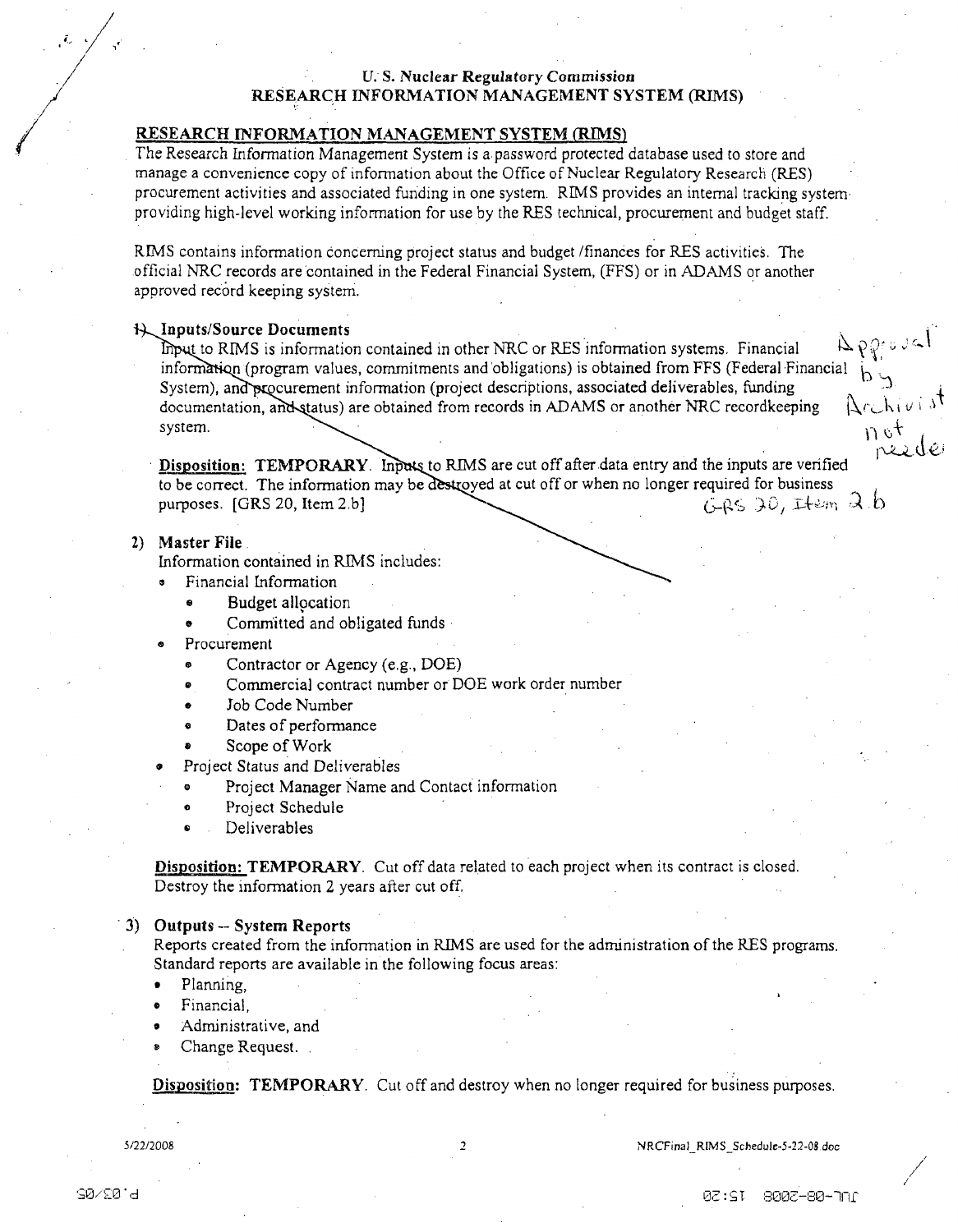# <sup>U. S.</sup> Nuclear Regulatory Commission<br>RESEARCH INFORMATION MANAGEMENT SYSTEM (RIMS)

# RESEARCH INFORMATION **MANAGEMENT** SYSTEM **(RIMS)**

The Research information Management System is a password protected database used to store and manage a convenience copy of information about the Office of Nuclear Regulatory Research (RES) procurement activities and associated funding in one system. RIMS provides an internal tracking system providing high-level working information for use by the RES technical, procurement and budget staff.

RIMS contains information concerning project status and budget /finances for RES activities. The official NRC records are contained in the Federal Financial System, (FFS) or in ADAMS or another approved record keeping system.

### 44,,Inputs/Source Documents

t to RIMS is information contained in other NRC or RES information systems. Financial I 'jK• " information (program values, commitments and obligations) is obtained from FFS (Federal Financial System), and procurement information (project descriptions, associated deliverables, funding documentation, and status) are obtained from records in ADAMS or another NRC record keeping  $\forall$  ( $\downarrow$   $\downarrow$   $\downarrow$ system.

Disposition: TEMPORARY. Inputs to RIMS are cut off after data entry and the inputs are verified to be correct. The information may be destroyed at cut off or when no longer required for business<br>purposes. [GRS 20, Item 2.b]<br> $(5.85-3.0)$ , Item 2.b] purposes. [GRS 20, Item 2.b]

#### 2) Master File.

Information contained in RIMS includes:

- **0** Financial Information
	- **\*** Budget allocation
	- Committed and obligated funds
- Procurement
	- Contractor or Agency (e.g., DOE)
	- Commercial contract number or DOE work order number
	- Job Code Number
	- **"** Dates of performance
	- Scope of Work
	- Project Status and Deliverables
	- **0** Project Manager Name and Contact information
	- Project Schedule
	- Deliverables

Disposition: TEMPORARY. Cut off data related to each project when its contract is closed. Destroy the information 2 years after cut off,

## 3) Outputs -- System Reports

Reports created from the information in RIMS are used for the administration of the RES programs. Standard reports are available in the following focus areas:

- **"** Planning,
- Financial.
- Administrative, and
- Change Request.

Disposition: TEMPORARY. Cut off and destroy when no longer required for business purposes.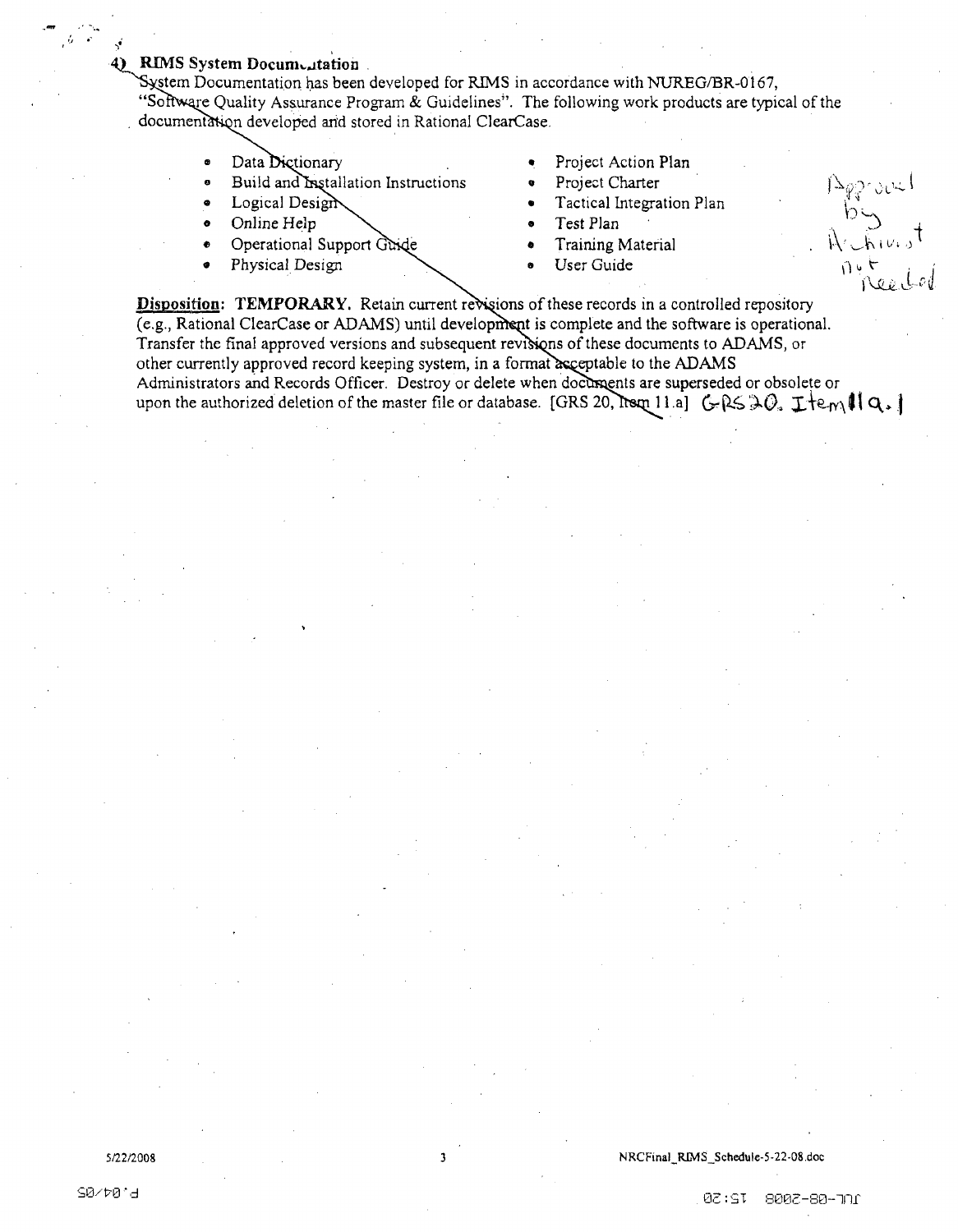## 4) RIMS System Documentation

System Documentation has been developed for RIMS in accordance with NUREG/BR-0167, "Software Quality Assurance Program & Guidelines". The following work products are typical of the documentation developed and stored in Rational ClearCase.

- Data Dictionary
- Build and Installation Instructions
- Logical Design
- Online Help
- Operational Support Guide
- Physical Design
- Project Action Plan
- Project Charter
- Tactical Integration Plan
- Test Plan
- Training Material
- User Guide

 $1283000$ 

Disposition: TEMPORARY. Retain current revisions of these records in a controlled repository (e.g., Rational ClearCase or ADAMS) until development is complete and the software is operational. Transfer the final approved versions and subsequent revisions of these documents to ADAMS, or other currently approved record keeping system, in a format acceptable to the ADAMS Administrators and Records Officer. Destroy or delete when documents are superseded or obsolete or upon the authorized deletion of the master file or database. [GRS 20, Itsm 11.a]  $GRS \otimes Q_a \perp \text{Im } \mathbf{Q}_a$ 

À